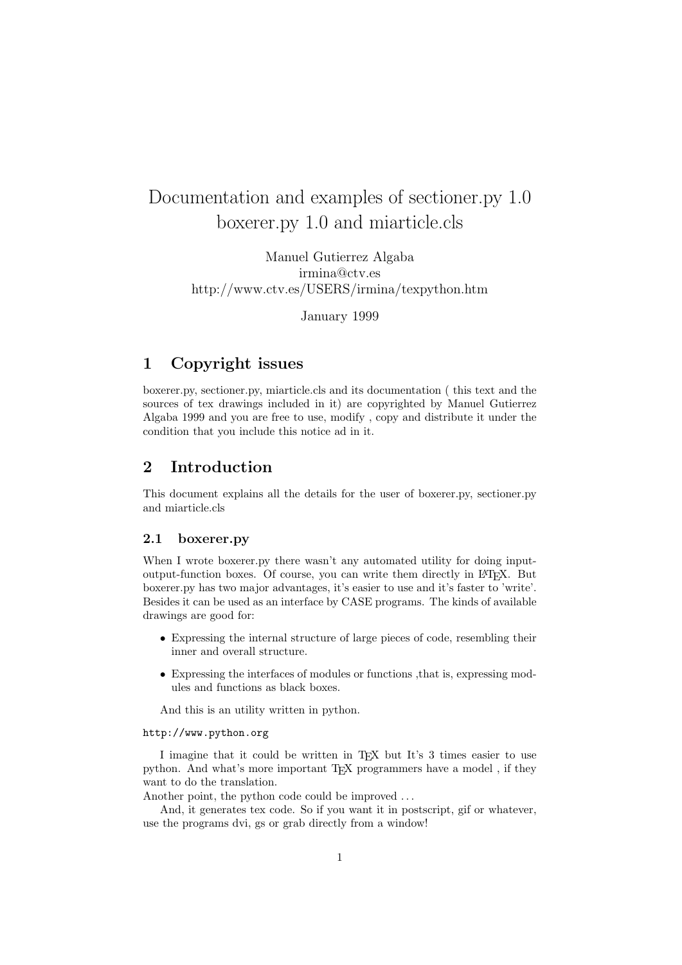# Documentation and examples of sectioner.py 1.0 boxerer.py 1.0 and miarticle.cls

Manuel Gutierrez Algaba irmina@ctv.es http://www.ctv.es/USERS/irmina/texpython.htm

January 1999

# 1 Copyright issues

boxerer.py, sectioner.py, miarticle.cls and its documentation ( this text and the sources of tex drawings included in it) are copyrighted by Manuel Gutierrez Algaba 1999 and you are free to use, modify , copy and distribute it under the condition that you include this notice ad in it.

# 2 Introduction

This document explains all the details for the user of boxerer.py, sectioner.py and miarticle.cls

## 2.1 boxerer.py

When I wrote boxerer.py there wasn't any automated utility for doing inputoutput-function boxes. Of course, you can write them directly in LATEX. But boxerer.py has two major advantages, it's easier to use and it's faster to 'write'. Besides it can be used as an interface by CASE programs. The kinds of available drawings are good for:

- Expressing the internal structure of large pieces of code, resembling their inner and overall structure.
- Expressing the interfaces of modules or functions ,that is, expressing modules and functions as black boxes.

And this is an utility written in python.

#### http://www.python.org

I imagine that it could be written in TEX but It's 3 times easier to use python. And what's more important TEX programmers have a model, if they want to do the translation.

Another point, the python code could be improved . . .

And, it generates tex code. So if you want it in postscript, gif or whatever, use the programs dvi, gs or grab directly from a window!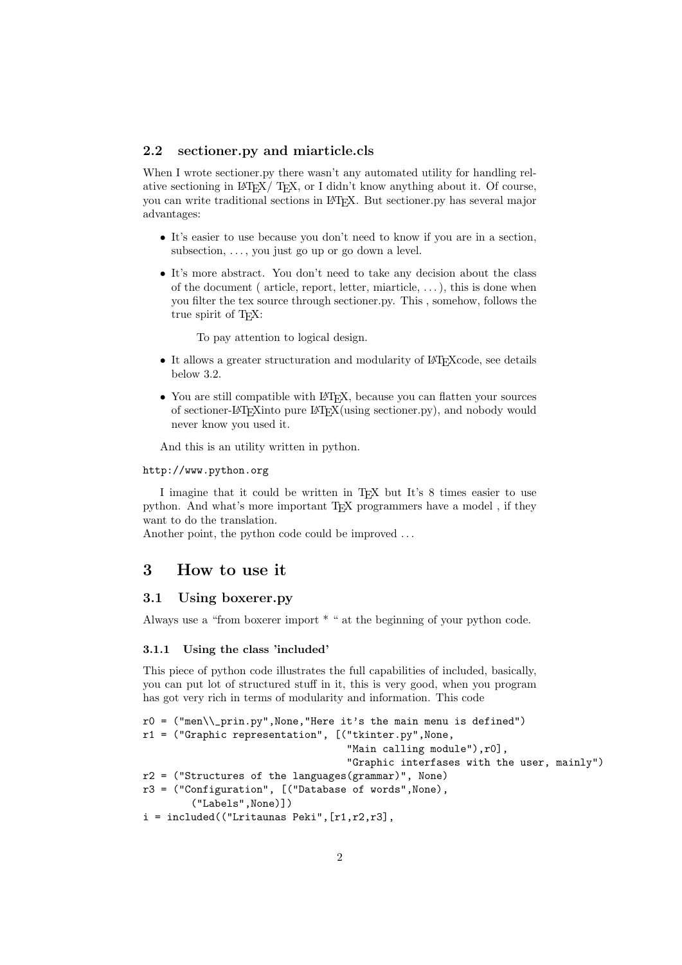#### 2.2 sectioner.py and miarticle.cls

When I wrote sectioner.py there wasn't any automated utility for handling relative sectioning in LATEX/ TEX, or I didn't know anything about it. Of course, you can write traditional sections in LATEX. But sectioner.py has several major advantages:

- It's easier to use because you don't need to know if you are in a section, subsection,  $\dots$ , you just go up or go down a level.
- It's more abstract. You don't need to take any decision about the class of the document ( article, report, letter, miarticle,  $\dots$  ), this is done when you filter the tex source through sectioner.py. This , somehow, follows the true spirit of T<sub>E</sub>X:

To pay attention to logical design.

- It allows a greater structuration and modularity of  $\mathbb{F}T_FX$ code, see details below 3.2.
- You are still compatible with LAT<sub>EX</sub>, because you can flatten your sources of sectioner-LATEXinto pure LATEX(using sectioner.py), and nobody would never know you used it.

And this is an utility written in python.

#### http://www.python.org

I imagine that it could be written in TEX but It's 8 times easier to use python. And what's more important TEX programmers have a model , if they want to do the translation.

Another point, the python code could be improved . . .

# 3 How to use it

## 3.1 Using boxerer.py

Always use a "from boxerer import \* " at the beginning of your python code.

#### 3.1.1 Using the class 'included'

This piece of python code illustrates the full capabilities of included, basically, you can put lot of structured stuff in it, this is very good, when you program has got very rich in terms of modularity and information. This code

```
r0 = ("men\\_prin.py", None, "Here it's the main menu is defined")
r1 = ("Graphic representation", [ ("tkinter.py", None,
                                   "Main calling module"),r0],
                                   "Graphic interfases with the user, mainly")
r2 = ("Structures of the languages(grammar)", None)
r3 = ("Configuration", [("Database of words",None),
        ("Labels",None)])
i = interval(("Lritaunas Peki", [r1, r2, r3],
```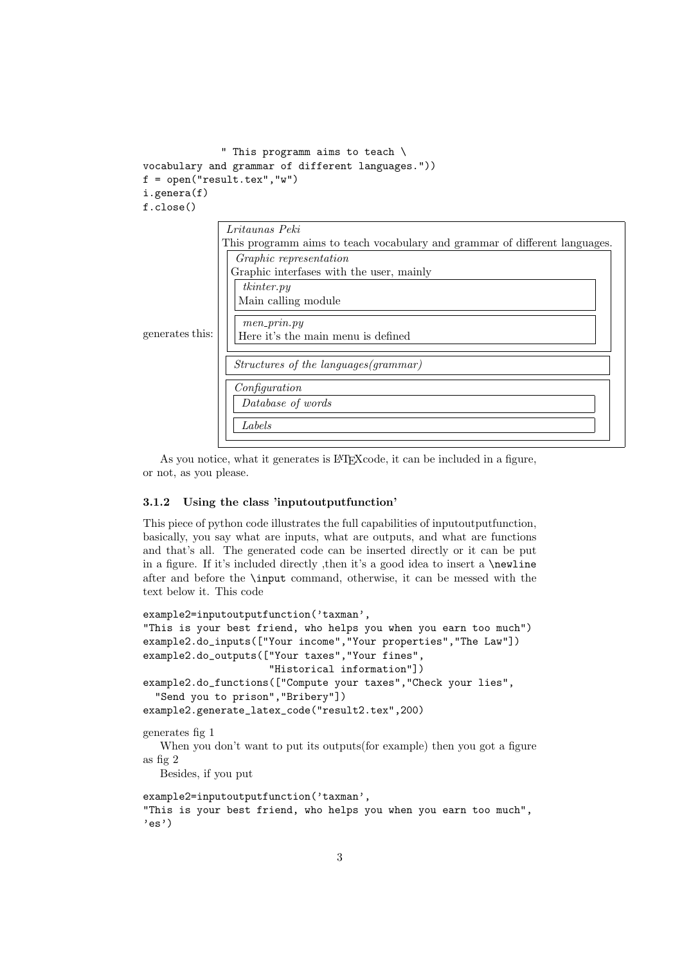```
" This programm aims to teach \
vocabulary and grammar of different languages."))
f = open("result.text", "w")i.genera(f)
f.close()
```


As you notice, what it generates is LAT<sub>EX</sub>code, it can be included in a figure, or not, as you please.

#### 3.1.2 Using the class 'inputoutputfunction'

This piece of python code illustrates the full capabilities of inputoutputfunction, basically, you say what are inputs, what are outputs, and what are functions and that's all. The generated code can be inserted directly or it can be put in a figure. If it's included directly ,then it's a good idea to insert a \newline after and before the \input command, otherwise, it can be messed with the text below it. This code

```
example2=inputoutputfunction('taxman',
"This is your best friend, who helps you when you earn too much")
example2.do_inputs(["Your income","Your properties","The Law"])
example2.do_outputs(["Your taxes","Your fines",
                      "Historical information"])
example2.do_functions(["Compute your taxes","Check your lies",
  "Send you to prison","Bribery"])
example2.generate_latex_code("result2.tex",200)
generates fig 1
   When you don't want to put its outputs(for example) then you got a figure
as fig 2
  Besides, if you put
example2=inputoutputfunction('taxman',
"This is your best friend, who helps you when you earn too much",
'es')
```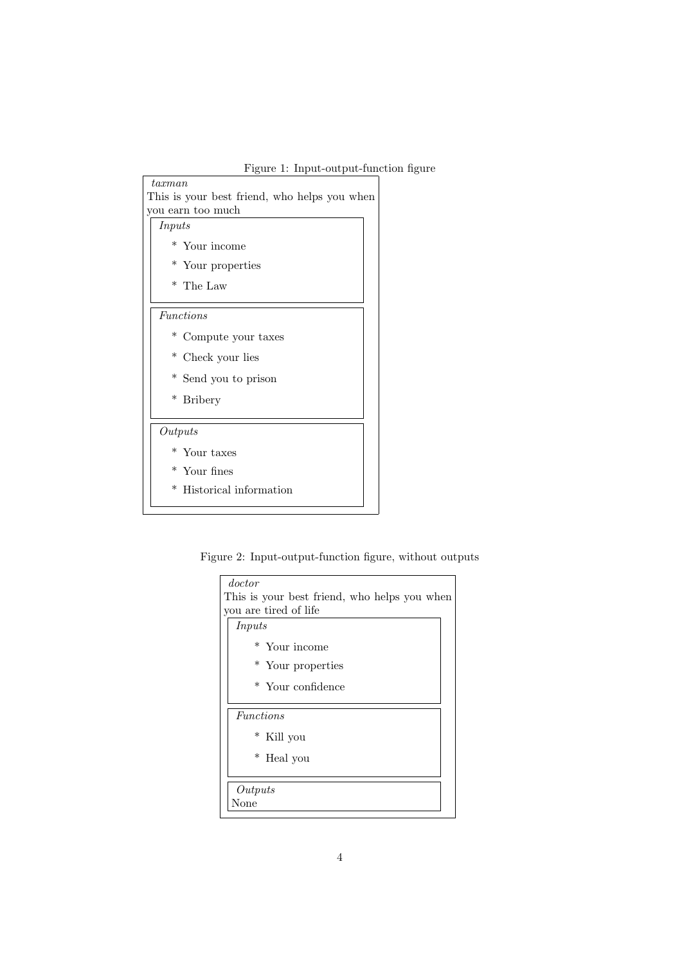# Figure 1: Input-output-function figure

| $\it taxman$                                 |  |
|----------------------------------------------|--|
| This is your best friend, who helps you when |  |
| you earn too much                            |  |
| Inputs                                       |  |
| * Your income                                |  |
| * Your properties                            |  |
| * The Law                                    |  |
| <i>Functions</i>                             |  |
| $\ast$<br>Compute your taxes                 |  |
| * Check your lies                            |  |
| * Send you to prison                         |  |
| * Bribery                                    |  |
| Outputs                                      |  |
| * Your taxes                                 |  |
| $*$ Your fines                               |  |
| * Historical information                     |  |
|                                              |  |

Figure 2: Input-output-function figure, without outputs

| doctor                                       |  |
|----------------------------------------------|--|
| This is your best friend, who helps you when |  |
| you are tired of life                        |  |
| Inputs                                       |  |
| * Your income                                |  |
| * Your properties                            |  |
| * Your confidence                            |  |
|                                              |  |
| <i>Functions</i>                             |  |
| * Kill you                                   |  |
| * Heal you                                   |  |
|                                              |  |
| Outputs                                      |  |
| None                                         |  |
|                                              |  |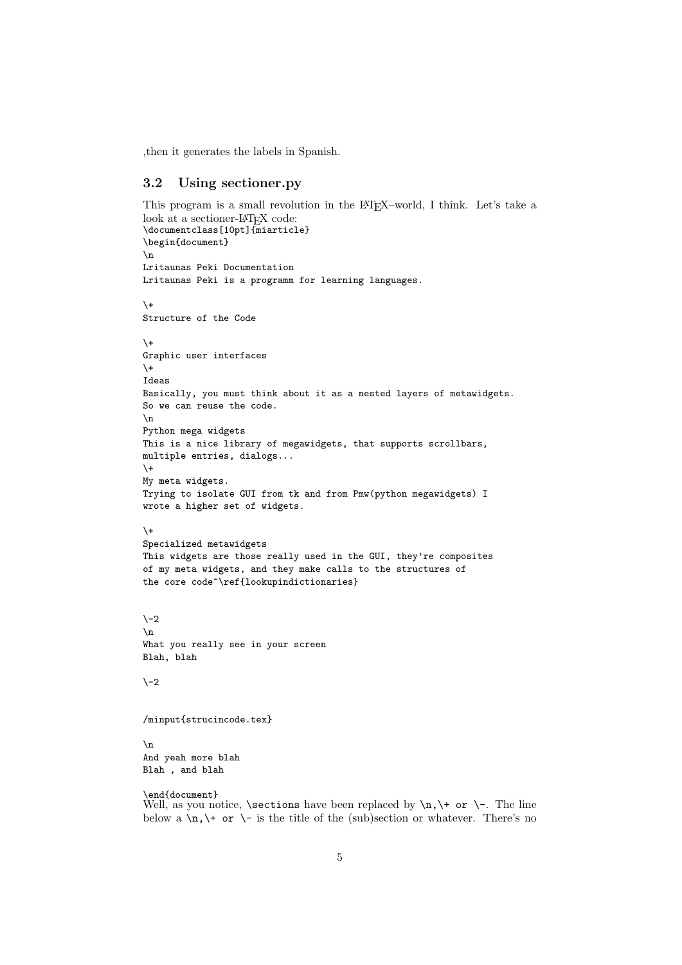,then it generates the labels in Spanish.

## 3.2 Using sectioner.py

```
This program is a small revolution in the L<sup>AT</sup>EX–world, I think. Let's take a
look at a sectioner-LAT<sub>F</sub>X code:
\documentclass[10pt]{miarticle}
\begin{document}
\n
Lritaunas Peki Documentation
Lritaunas Peki is a programm for learning languages.
\setminus +Structure of the Code
\lambda +Graphic user interfaces
\setminus +Ideas
Basically, you must think about it as a nested layers of metawidgets.
So we can reuse the code.
\mathbf{n}Python mega widgets
This is a nice library of megawidgets, that supports scrollbars,
multiple entries, dialogs...
\setminus +My meta widgets.
Trying to isolate GUI from tk and from Pmw(python megawidgets) I
wrote a higher set of widgets.
\setminus +Specialized metawidgets
This widgets are those really used in the GUI, they're composites
of my meta widgets, and they make calls to the structures of
the core code<sup>~</sup>\ref{lookupindictionaries}
\lambda-2
\n
What you really see in your screen
Blah, blah
\setminus -2/minput{strucincode.tex}
\n
And yeah more blah
Blah , and blah
```
\end{document} Well, as you notice, \sections have been replaced by \n,\+ or \-. The line below a  $\n\lambda$ ,  $\rightarrow$  or  $\rightarrow$  is the title of the (sub)section or whatever. There's no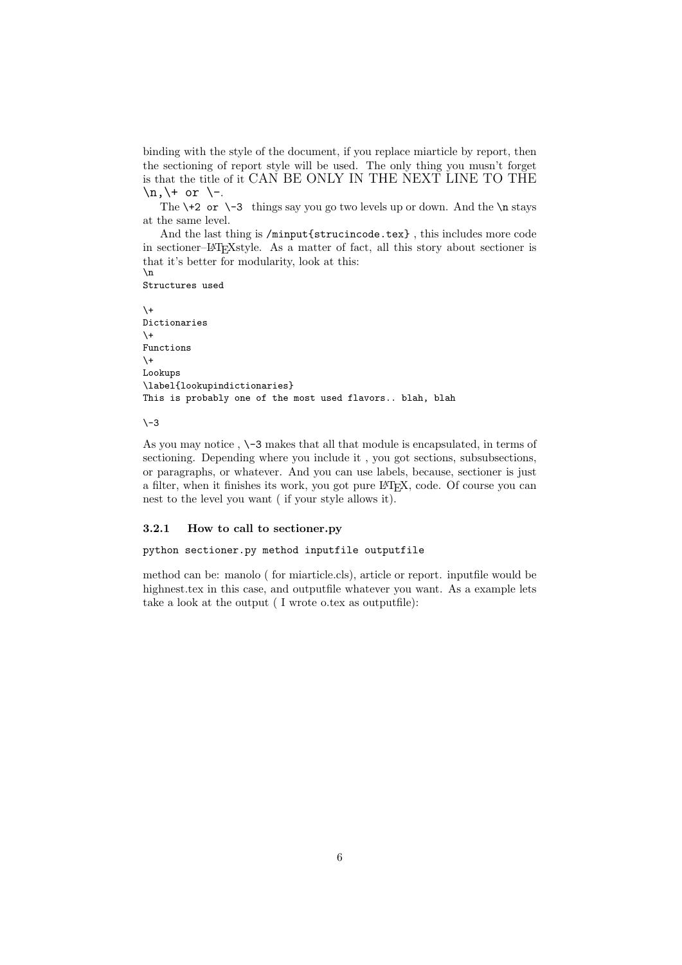binding with the style of the document, if you replace miarticle by report, then the sectioning of report style will be used. The only thing you musn't forget is that the title of it CAN BE ONLY IN THE NEXT LINE TO THE  $\n\t\frac{+}{-}$  or  $\-\cdot$ .

The  $\+2$  or  $\-3$  things say you go two levels up or down. And the  $\n$  stays at the same level.

And the last thing is /minput{strucincode.tex} , this includes more code in sectioner–LATEXstyle. As a matter of fact, all this story about sectioner is that it's better for modularity, look at this: \n

Structures used

 $\lambda +$ Dictionaries  $\lambda$ + Functions  $\setminus +$ Lookups \label{lookupindictionaries} This is probably one of the most used flavors.. blah, blah

 $\sqrt{-3}$ 

As you may notice , \-3 makes that all that module is encapsulated, in terms of sectioning. Depending where you include it , you got sections, subsubsections, or paragraphs, or whatever. And you can use labels, because, sectioner is just a filter, when it finishes its work, you got pure LAT<sub>EX</sub>, code. Of course you can nest to the level you want ( if your style allows it).

#### 3.2.1 How to call to sectioner.py

python sectioner.py method inputfile outputfile

method can be: manolo ( for miarticle.cls), article or report. inputfile would be highnest.tex in this case, and outputfile whatever you want. As a example lets take a look at the output ( I wrote o.tex as outputfile):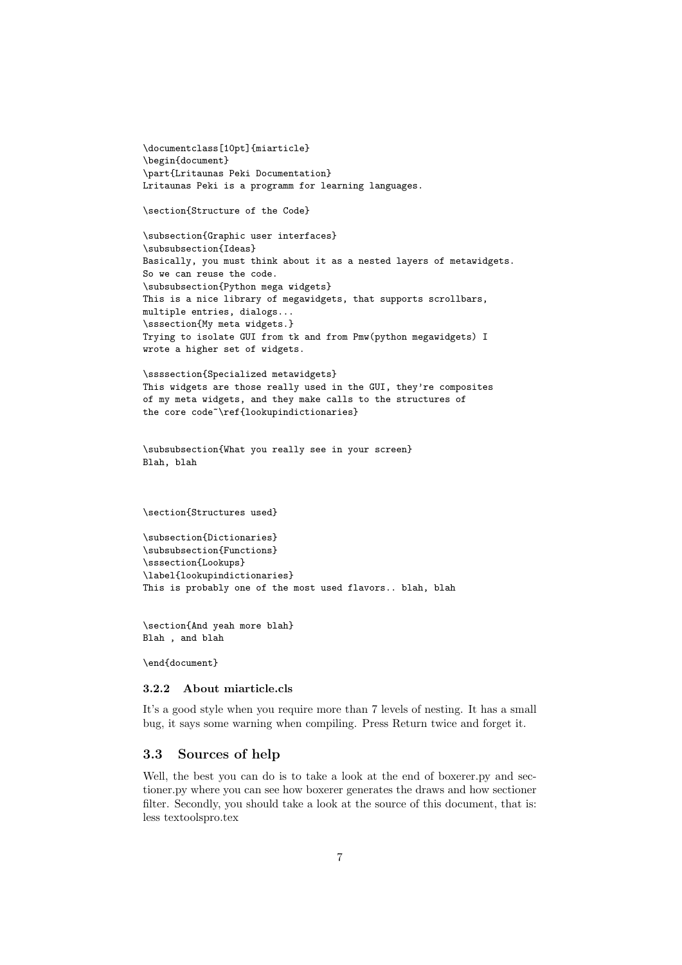\documentclass[10pt]{miarticle} \begin{document} \part{Lritaunas Peki Documentation} Lritaunas Peki is a programm for learning languages.

\section{Structure of the Code}

\subsection{Graphic user interfaces} \subsubsection{Ideas} Basically, you must think about it as a nested layers of metawidgets. So we can reuse the code. \subsubsection{Python mega widgets} This is a nice library of megawidgets, that supports scrollbars, multiple entries, dialogs... \sssection{My meta widgets.} Trying to isolate GUI from tk and from Pmw(python megawidgets) I wrote a higher set of widgets.

\ssssection{Specialized metawidgets} This widgets are those really used in the GUI, they're composites of my meta widgets, and they make calls to the structures of the core code~\ref{lookupindictionaries}

\subsubsection{What you really see in your screen} Blah, blah

\section{Structures used}

```
\subsection{Dictionaries}
\subsubsection{Functions}
\sssection{Lookups}
\label{lookupindictionaries}
This is probably one of the most used flavors.. blah, blah
```
\section{And yeah more blah} Blah , and blah

\end{document}

#### 3.2.2 About miarticle.cls

It's a good style when you require more than 7 levels of nesting. It has a small bug, it says some warning when compiling. Press Return twice and forget it.

## 3.3 Sources of help

Well, the best you can do is to take a look at the end of boxerer.py and sectioner.py where you can see how boxerer generates the draws and how sectioner filter. Secondly, you should take a look at the source of this document, that is: less textoolspro.tex